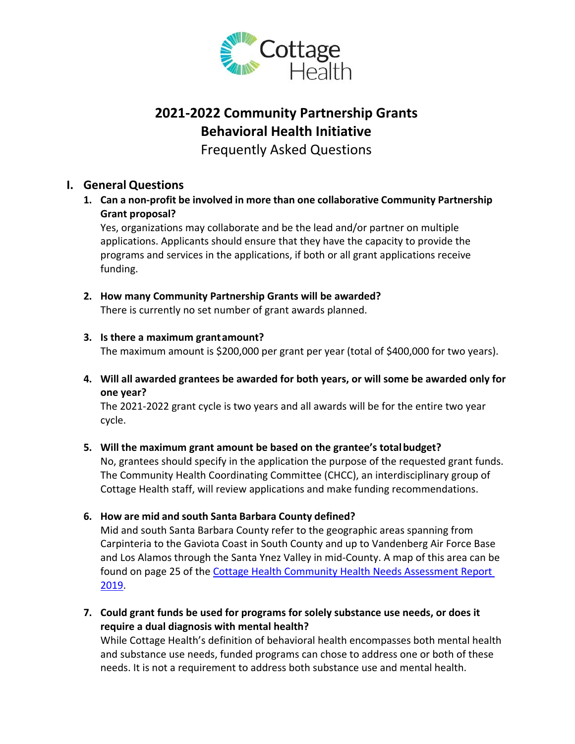

# **2021‐2022 Community Partnership Grants Behavioral Health Initiative**

Frequently Asked Questions

# **I. General Questions**

**1. Can a non‐profit be involved in more than one collaborative Community Partnership Grant proposal?**

Yes, organizations may collaborate and be the lead and/or partner on multiple applications. Applicants should ensure that they have the capacity to provide the programs and services in the applications, if both or all grant applications receive funding.

# **2. How many Community Partnership Grants will be awarded?**

There is currently no set number of grant awards planned.

## **3. Is there a maximum grantamount?**

The maximum amount is \$200,000 per grant per year (total of \$400,000 for two years).

**4. Will all awarded grantees be awarded for both years, or will some be awarded only for one year?**

The 2021-2022 grant cycle is two years and all awards will be for the entire two year cycle.

## **5. Will the maximum grant amount be based on the grantee's totalbudget?**

No, grantees should specify in the application the purpose of the requested grant funds. The Community Health Coordinating Committee (CHCC), an interdisciplinary group of Cottage Health staff, will review applications and make funding recommendations.

## **6. How are mid and south Santa Barbara County defined?**

Mid and south Santa Barbara County refer to the geographic areas spanning from Carpinteria to the Gaviota Coast in South County and up to Vandenberg Air Force Base and Los Alamos through the Santa Ynez Valley in mid-County. A map of this area can be found on page 25 of the Cottage Health Community Health Needs Assessment Report 2019.

**7. Could grant funds be used for programs for solely substance use needs, or does it require a dual diagnosis with mental health?**

While Cottage Health's definition of behavioral health encompasses both mental health and substance use needs, funded programs can chose to address one or both of these needs. It is not a requirement to address both substance use and mental health.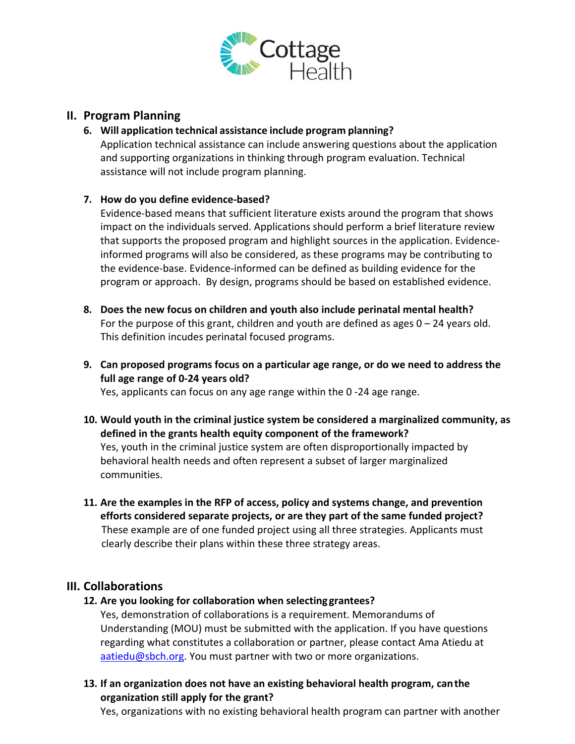

### **II. Program Planning**

#### **6. Will application technical assistance include program planning?**

Application technical assistance can include answering questions about the application and supporting organizations in thinking through program evaluation. Technical assistance will not include program planning.

### **7. How do you define evidence‐based?**

Evidence-based means that sufficient literature exists around the program that shows impact on the individuals served. Applications should perform a brief literature review that supports the proposed program and highlight sources in the application. Evidenceinformed programs will also be considered, as these programs may be contributing to the evidence-base. Evidence-informed can be defined as building evidence for the program or approach. By design, programs should be based on established evidence.

- **8. Does the new focus on children and youth also include perinatal mental health?** For the purpose of this grant, children and youth are defined as ages  $0 - 24$  years old. This definition incudes perinatal focused programs.
- **9. Can proposed programs focus on a particular age range, or do we need to address the full age range of 0-24 years old?**

Yes, applicants can focus on any age range within the 0 -24 age range.

- **10. Would youth in the criminal justice system be considered a marginalized community, as defined in the grants health equity component of the framework?**  Yes, youth in the criminal justice system are often disproportionally impacted by behavioral health needs and often represent a subset of larger marginalized communities.
- **11. Are the examples in the RFP of access, policy and systems change, and prevention efforts considered separate projects, or are they part of the same funded project?**  These example are of one funded project using all three strategies. Applicants must clearly describe their plans within these three strategy areas.

## **III. Collaborations**

**12. Are you looking for collaboration when selecting grantees?**

Yes, demonstration of collaborations is a requirement. Memorandums of Understanding (MOU) must be submitted with the application. If you have questions regarding what constitutes a collaboration or partner, please contact Ama Atiedu at [aatiedu@sbch.org.](mailto:aatiedu@sbch.org) You must partner with two or more organizations.

**13. If an organization does not have an existing behavioral health program, canthe organization still apply for the grant?**

Yes, organizations with no existing behavioral health program can partner with another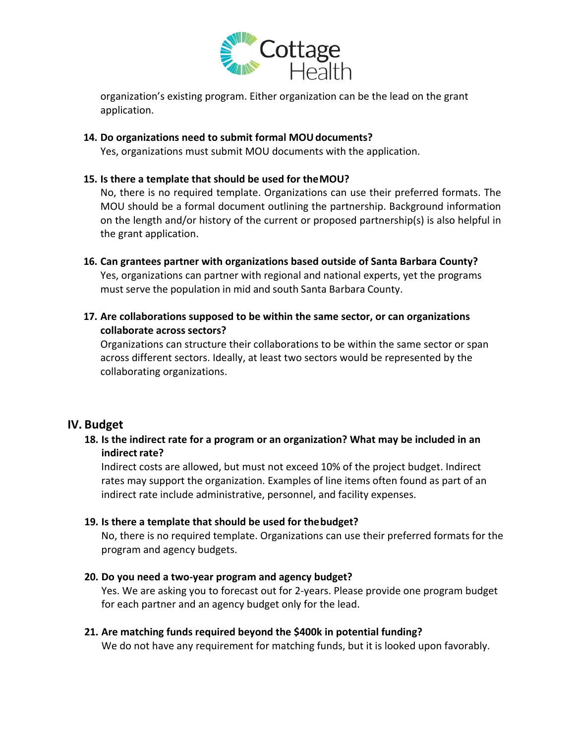

organization's existing program. Either organization can be the lead on the grant application.

#### **14. Do organizations need to submit formal MOUdocuments?**

Yes, organizations must submit MOU documents with the application.

#### **15. Is there a template that should be used for theMOU?**

No, there is no required template. Organizations can use their preferred formats. The MOU should be a formal document outlining the partnership. Background information on the length and/or history of the current or proposed partnership(s) is also helpful in the grant application.

- **16. Can grantees partner with organizations based outside of Santa Barbara County?**  Yes, organizations can partner with regional and national experts, yet the programs must serve the population in mid and south Santa Barbara County.
- **17. Are collaborations supposed to be within the same sector, or can organizations collaborate across sectors?**

Organizations can structure their collaborations to be within the same sector or span across different sectors. Ideally, at least two sectors would be represented by the collaborating organizations.

#### **IV. Budget**

#### **18. Is the indirect rate for a program or an organization? What may be included in an indirect rate?**

Indirect costs are allowed, but must not exceed 10% of the project budget. Indirect rates may support the organization. Examples of line items often found as part of an indirect rate include administrative, personnel, and facility expenses.

#### **19. Is there a template that should be used for thebudget?**

No, there is no required template. Organizations can use their preferred formats for the program and agency budgets.

#### **20. Do you need a two-year program and agency budget?**

Yes. We are asking you to forecast out for 2-years. Please provide one program budget for each partner and an agency budget only for the lead.

#### **21. Are matching funds required beyond the \$400k in potential funding?**

We do not have any requirement for matching funds, but it is looked upon favorably.